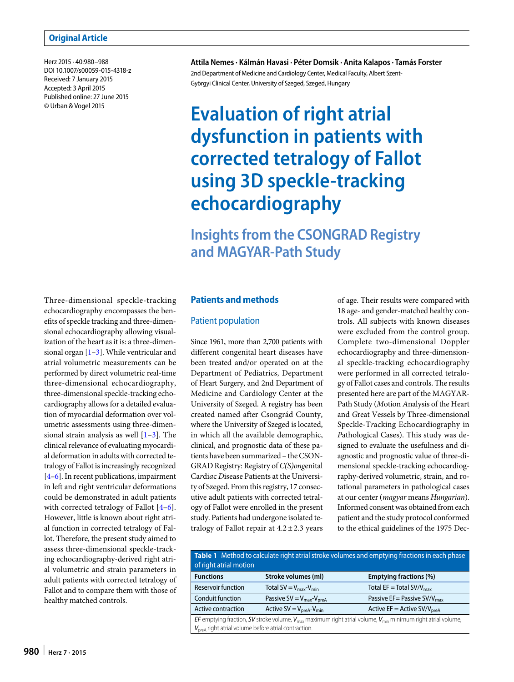Herz 2015 · 40:980–988 DOI 10.1007/s00059-015-4318-z Received: 7 January 2015 Accepted: 3 April 2015 Published online: 27 June 2015 © Urban & Vogel 2015

Three-dimensional speckle-tracking echocardiography encompasses the benefits of speckle tracking and three-dimensional echocardiography allowing visualization of the heart as it is: a three-dimensional organ [[1](#page-8-0)[–3\]](#page-8-1). While ventricular and atrial volumetric measurements can be performed by direct volumetric real-time three-dimensional echocardiography, three-dimensional speckle-tracking echocardiography allows for a detailed evaluation of myocardial deformation over volumetric assessments using three-dimensional strain analysis as well  $[1-3]$  $[1-3]$  $[1-3]$ . The clinical relevance of evaluating myocardial deformation in adults with corrected tetralogy of Fallot is increasingly recognized [\[4–](#page-8-2)[6\]](#page-8-3). In recent publications, impairment in left and right ventricular deformations could be demonstrated in adult patients with corrected tetralogy of Fallot [[4](#page-8-2)[–6\]](#page-8-3). However, little is known about right atrial function in corrected tetralogy of Fallot. Therefore, the present study aimed to assess three-dimensional speckle-tracking echocardiography-derived right atrial volumetric and strain parameters in adult patients with corrected tetralogy of Fallot and to compare them with those of healthy matched controls.

**Attila Nemes · Kálmán Havasi · Péter Domsik · Anita Kalapos · Tamás Forster** 2nd Department of Medicine and Cardiology Center, Medical Faculty, Albert Szent-Györgyi Clinical Center, University of Szeged, Szeged, Hungary

# **Evaluation of right atrial dysfunction in patients with corrected tetralogy of Fallot using 3D speckle-tracking echocardiography**

**Insights from the CSONGRAD Registry and MAGYAR-Path Study**

#### **Patients and methods**

#### Patient population

Since 1961, more than 2,700 patients with different congenital heart diseases have been treated and/or operated on at the Department of Pediatrics, Department of Heart Surgery, and 2nd Department of Medicine and Cardiology Center at the University of Szeged. A registry has been created named after Csongrád County, where the University of Szeged is located, in which all the available demographic, clinical, and prognostic data of these patients have been summarized – the CSON-GRAD Registry: Registry of *C(S)ong*enital Ca*r*di*a*c *D*isease Patients at the University of Szeged. From this registry, 17 consecutive adult patients with corrected tetralogy of Fallot were enrolled in the present study. Patients had undergone isolated tetralogy of Fallot repair at  $4.2 \pm 2.3$  years of age. Their results were compared with 18 age- and gender-matched healthy controls. All subjects with known diseases were excluded from the control group. Complete two-dimensional Doppler echocardiography and three-dimensional speckle-tracking echocardiography were performed in all corrected tetralogy of Fallot cases and controls. The results presented here are part of the MAGYAR-Path Study (*M*otion *A*nalysis of the Heart and *G*reat Vessels b*y* Three-dimension*a*l Speckle-T*r*acking Echocardiography in *P*athological Cases). This study was designed to evaluate the usefulness and diagnostic and prognostic value of three-dimensional speckle-tracking echocardiography-derived volumetric, strain, and rotational parameters in pathological cases at our center (*magyar* means *Hungarian*). Informed consent was obtained from each patient and the study protocol conformed to the ethical guidelines of the 1975 Dec-

<span id="page-0-0"></span>**Table 1** Method to calculate right atrial stroke volumes and emptying fractions in each phase of right atrial motion

| <b>Functions</b>          | Stroke volumes (ml)                            | <b>Emptying fractions (%)</b>             |
|---------------------------|------------------------------------------------|-------------------------------------------|
| <b>Reservoir function</b> | Total SV = $V_{\text{max}}$ - $V_{\text{min}}$ | Total EF = Total $SV/V_{\text{max}}$      |
| Conduit function          | Passive $SV = V_{max} - V_{preA}$              | Passive EF= Passive $SV/V_{\text{max}}$   |
| Active contraction        | Active $SV = V_{\text{pred}} - V_{\text{min}}$ | Active $EF =$ Active SV/V <sub>preA</sub> |
|                           |                                                |                                           |

*EF* emptying fraction, *SV* stroke volume, *V*<sub>max</sub> maximum right atrial volume, *V*<sub>min</sub> minimum right atrial volume,  $V_{\text{pred}}$  right atrial volume before atrial contraction.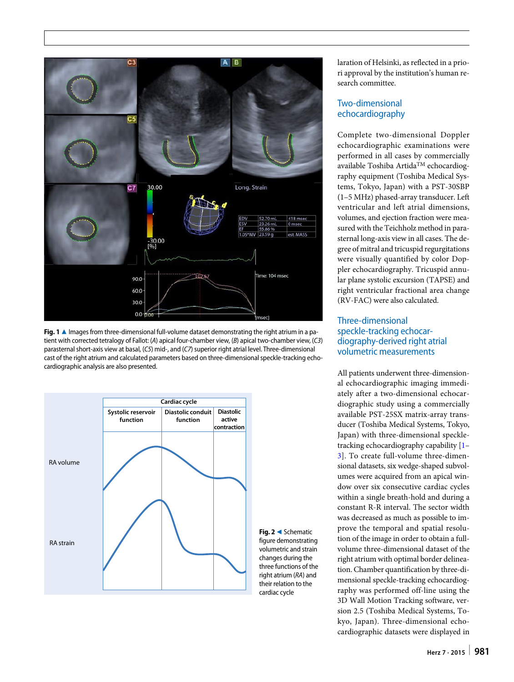<span id="page-1-0"></span>

**Fig. 1** A Images from three-dimensional full-volume dataset demonstrating the right atrium in a patient with corrected tetralogy of Fallot: (*A*) apical four-chamber view, (*B*) apical two-chamber view, (*C3*) parasternal short-axis view at basal, (*C5*) mid-, and (*C7*) superior right atrial level. Three-dimensional cast of the right atrium and calculated parameters based on three-dimensional speckle-tracking echocardiographic analysis are also presented.

<span id="page-1-1"></span>

Fig. 2 < Schematic figure demonstrating volumetric and strain changes during the three functions of the right atrium (*RA*) and their relation to the cardiac cycle

laration of Helsinki, as reflected in a priori approval by the institution's human research committee.

# Two-dimensional echocardiography

Complete two-dimensional Doppler echocardiographic examinations were performed in all cases by commercially available Toshiba ArtidaTM echocardiography equipment (Toshiba Medical Systems, Tokyo, Japan) with a PST-30SBP (1–5 MHz) phased-array transducer. Left ventricular and left atrial dimensions, volumes, and ejection fraction were measured with the Teichholz method in parasternal long-axis view in all cases. The degree of mitral and tricuspid regurgitations were visually quantified by color Doppler echocardiography. Tricuspid annular plane systolic excursion (TAPSE) and right ventricular fractional area change (RV-FAC) were also calculated.

## Three-dimensional speckle-tracking echocardiography-derived right atrial volumetric measurements

All patients underwent three-dimensional echocardiographic imaging immediately after a two-dimensional echocardiographic study using a commercially available PST-25SX matrix-array transducer (Toshiba Medical Systems, Tokyo, Japan) with three-dimensional speckletracking echocardiography capability [[1](#page-8-0)– [3\]](#page-8-1). To create full-volume three-dimensional datasets, six wedge-shaped subvolumes were acquired from an apical window over six consecutive cardiac cycles within a single breath-hold and during a constant R-R interval. The sector width was decreased as much as possible to improve the temporal and spatial resolution of the image in order to obtain a fullvolume three-dimensional dataset of the right atrium with optimal border delineation. Chamber quantification by three-dimensional speckle-tracking echocardiography was performed off-line using the 3D Wall Motion Tracking software, version 2.5 (Toshiba Medical Systems, Tokyo, Japan). Three-dimensional echocardiographic datasets were displayed in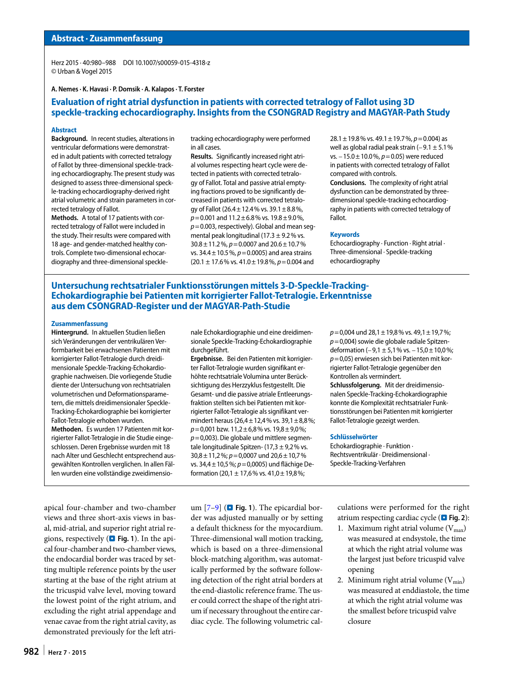Herz 2015 · 40:980–988 DOI 10.1007/s00059-015-4318-z © Urban & Vogel 2015

**A. Nemes · K. Havasi · P. Domsik · A. Kalapos · T. Forster**

# **Evaluation of right atrial dysfunction in patients with corrected tetralogy of Fallot using 3D speckle-tracking echocardiography. Insights from the CSONGRAD Registry and MAGYAR-Path Study**

#### **Abstract**

**Background.** In recent studies, alterations in ventricular deformations were demonstrated in adult patients with corrected tetralogy of Fallot by three-dimensional speckle-tracking echocardiography. The present study was designed to assess three-dimensional speckle-tracking echocardiography-derived right atrial volumetric and strain parameters in corrected tetralogy of Fallot.

**Methods.** A total of 17 patients with corrected tetralogy of Fallot were included in the study. Their results were compared with 18 age- and gender-matched healthy controls. Complete two-dimensional echocardiography and three-dimensional speckletracking echocardiography were performed in all cases.

**Results.** Significantly increased right atrial volumes respecting heart cycle were detected in patients with corrected tetralogy of Fallot. Total and passive atrial emptying fractions proved to be significantly decreased in patients with corrected tetralogy of Fallot ( $26.4 \pm 12.4$ % vs. 39.1  $\pm 8.8$ %, *p*=0.001 and 11.2±6.8% vs. 19.8±9.0%, *p*=0.003, respectively). Global and mean segmental peak longitudinal (17.3  $\pm$  9.2% vs. 30.8±11.2%, *p*=0.0007 and 20.6±10.7% vs. 34.4±10.5%, *p*=0.0005) and area strains (20.1 ± 17.6% vs. 41.0±19.8%, *p*=0.004 and

28.1±19.8% vs. 49.1±19.7%, *p*=0.004) as well as global radial peak strain ( $-9.1 \pm 5.1\%$ vs. −15.0±10.0%, *p*=0.05) were reduced in patients with corrected tetralogy of Fallot compared with controls.

**Conclusions.** The complexity of right atrial dysfunction can be demonstrated by threedimensional speckle-tracking echocardiography in patients with corrected tetralogy of Fallot.

#### **Keywords**

Echocardiography · Function · Right atrial · Three-dimensional · Speckle-tracking echocardiography

#### **Untersuchung rechtsatrialer Funktionsstörungen mittels 3-D-Speckle-Tracking-Echokardiographie bei Patienten mit korrigierter Fallot-Tetralogie. Erkenntnisse aus dem CSONGRAD-Register und der MAGYAR-Path-Studie**

#### **Zusammenfassung**

**Hintergrund.** In aktuellen Studien ließen sich Veränderungen der ventrikulären Verformbarkeit bei erwachsenen Patienten mit korrigierter Fallot-Tetralogie durch dreidimensionale Speckle-Tracking-Echokardiographie nachweisen. Die vorliegende Studie diente der Untersuchung von rechtsatrialen volumetrischen und Deformationsparametern, die mittels dreidimensionaler Speckle-Tracking-Echokardiographie bei korrigierter Fallot-Tetralogie erhoben wurden. **Methoden.** Es wurden 17 Patienten mit korrigierter Fallot-Tetralogie in die Studie eingeschlossen. Deren Ergebnisse wurden mit 18

nach Alter und Geschlecht entsprechend ausgewählten Kontrollen verglichen. In allen Fällen wurden eine vollständige zweidimensio-

apical four-chamber and two-chamber views and three short-axis views in basal, mid-atrial, and superior right atrial regions, respectively  $(\blacksquare$  Fig. [1](#page-1-0)). In the apical four-chamber and two-chamber views, the endocardial border was traced by setting multiple reference points by the user starting at the base of the right atrium at the tricuspid valve level, moving toward the lowest point of the right atrium, and excluding the right atrial appendage and venae cavae from the right atrial cavity, as demonstrated previously for the left atrinale Echokardiographie und eine dreidimensionale Speckle-Tracking-Echokardiographie durchgeführt.

**Ergebnisse.** Bei den Patienten mit korrigierter Fallot-Tetralogie wurden signifikant erhöhte rechtsatriale Volumina unter Berücksichtigung des Herzzyklus festgestellt. Die Gesamt- und die passive atriale Entleerungsfraktion stellten sich bei Patienten mit korrigierter Fallot-Tetralogie als signifikant vermindert heraus ( $26.4 \pm 12.4$ % vs. 39,1 $\pm$ 8,8%; *p*=0,001 bzw. 11,2±6,8% vs. 19,8±9,0%; *p*=0,003). Die globale und mittlere segmentale longitudinale Spitzen- (17,3  $\pm$  9,2% vs. 30,8±11,2%; *p*=0,0007 und 20,6±10,7% vs. 34,4±10,5%; *p*=0,0005) und flächige Deformation (20,1  $\pm$  17,6% vs. 41,0  $\pm$  19,8%;

*p*=0,004 und 28,1±19,8% vs. 49,1±19,7%; *p*=0,004) sowie die globale radiale Spitzendeformation (−9,1 ± 5,1% vs. −15,0±10,0%; *p*=0,05) erwiesen sich bei Patienten mit korrigierter Fallot-Tetralogie gegenüber den Kontrollen als vermindert. **Schlussfolgerung.** Mit der dreidimensionalen Speckle-Tracking-Echokardiographie konnte die Komplexität rechtsatrialer Funktionsstörungen bei Patienten mit korrigierter Fallot-Tetralogie gezeigt werden.

#### **Schlüsselwörter**

Echokardiographie · Funktion · Rechtsventrikulär · Dreidimensional · Speckle-Tracking-Verfahren

um  $[7-9]$  $[7-9]$  $[7-9]$  ( $\blacksquare$  Fig. [1](#page-1-0)). The epicardial border was adjusted manually or by setting a default thickness for the myocardium. Three-dimensional wall motion tracking, which is based on a three-dimensional block-matching algorithm, was automatically performed by the software following detection of the right atrial borders at the end-diastolic reference frame. The user could correct the shape of the right atrium if necessary throughout the entire cardiac cycle. The following volumetric calculations were performed for the right atrium respecting cardiac cycle (. **Fig. [2](#page-1-1)**):

- 1. Maximum right atrial volume  $(V_{max})$ was measured at endsystole, the time at which the right atrial volume was the largest just before tricuspid valve opening
- 2. Minimum right atrial volume  $(V_{min})$ was measured at enddiastole, the time at which the right atrial volume was the smallest before tricuspid valve closure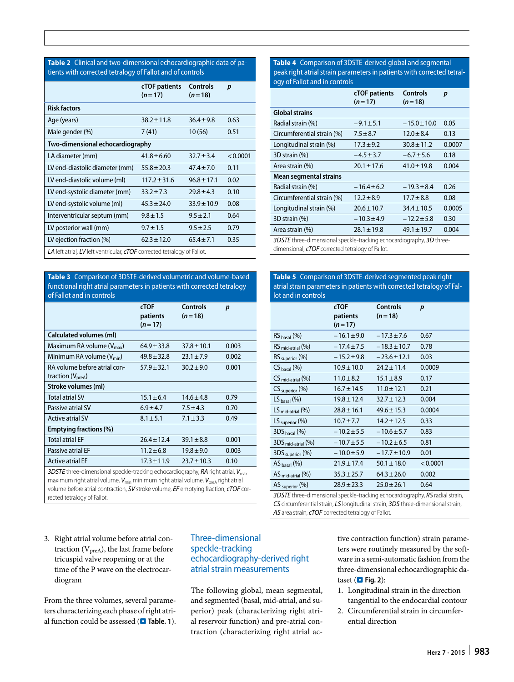<span id="page-3-0"></span>**Table 2** Clinical and two-dimensional echocardiographic data of patients with corrected tetralogy of Fallot and of controls

|                                                                          | cTOF patients<br>$(n=17)$        | <b>Controls</b><br>$(n=18)$ | p        |  |  |
|--------------------------------------------------------------------------|----------------------------------|-----------------------------|----------|--|--|
| <b>Risk factors</b>                                                      |                                  |                             |          |  |  |
| Age (years)                                                              | $38.2 \pm 11.8$                  | $36.4 \pm 9.8$              | 0.63     |  |  |
| Male gender (%)                                                          | 7(41)                            | 10(56)                      | 0.51     |  |  |
|                                                                          | Two-dimensional echocardiography |                             |          |  |  |
| LA diameter (mm)                                                         | $41.8 \pm 6.60$                  | $32.7 \pm 3.4$              | < 0.0001 |  |  |
| LV end-diastolic diameter (mm)                                           | $55.8 \pm 20.3$                  | $47.4 \pm 7.0$              | 0.11     |  |  |
| LV end-diastolic volume (ml)                                             | $117.2 \pm 31.6$                 | $96.8 \pm 17.1$             | 0.02     |  |  |
| LV end-systolic diameter (mm)                                            | $33.2 \pm 7.3$                   | $29.8 \pm 4.3$              | 0.10     |  |  |
| LV end-systolic volume (ml)                                              | $45.3 \pm 24.0$                  | $33.9 \pm 10.9$             | 0.08     |  |  |
| Interventricular septum (mm)                                             | $9.8 \pm 1.5$                    | $9.5 \pm 2.1$               | 0.64     |  |  |
| LV posterior wall (mm)                                                   | $9.7 \pm 1.5$                    | $9.5 \pm 2.5$               | 0.79     |  |  |
| LV ejection fraction (%)                                                 | $62.3 \pm 12.0$                  | $65.4 \pm 7.1$              | 0.35     |  |  |
| LA left atrial, LV left ventricular, cTOF corrected tetralogy of Fallot. |                                  |                             |          |  |  |

<span id="page-3-1"></span>**Table 3** Comparison of 3DSTE-derived volumetric and volume-based functional right atrial parameters in patients with corrected tetralogy of Fallot and in controls

|                                                                                                       | <b>CTOF</b><br>patients<br>$(n=17)$ | <b>Controls</b><br>$(n=18)$ | p     |  |
|-------------------------------------------------------------------------------------------------------|-------------------------------------|-----------------------------|-------|--|
| Calculated volumes (ml)                                                                               |                                     |                             |       |  |
| Maximum RA volume $(V_{\text{max}})$                                                                  | $64.9 \pm 33.8$                     | $37.8 \pm 10.1$             | 0.003 |  |
| Minimum RA volume (V <sub>min</sub> )                                                                 | $49.8 \pm 32.8$                     | $23.1 \pm 7.9$              | 0.002 |  |
| RA volume before atrial con-<br>traction $(V_{\text{preA}})$                                          | $57.9 \pm 32.1$                     | $30.2 \pm 9.0$              | 0.001 |  |
| Stroke volumes (ml)                                                                                   |                                     |                             |       |  |
| <b>Total atrial SV</b>                                                                                | $15.1 \pm 6.4$                      | $14.6 \pm 4.8$              | 0.79  |  |
| Passive atrial SV                                                                                     | $6.9 + 4.7$                         | $7.5 \pm 4.3$               | 0.70  |  |
| <b>Active atrial SV</b>                                                                               | $8.1 \pm 5.1$                       | $7.1 \pm 3.3$               | 0.49  |  |
| Emptying fractions (%)                                                                                |                                     |                             |       |  |
| <b>Total atrial EF</b>                                                                                | $26.4 \pm 12.4$                     | $39.1 \pm 8.8$              | 0.001 |  |
| Passive atrial EF                                                                                     | $11.2 \pm 6.8$                      | $19.8 \pm 9.0$              | 0.003 |  |
| Active atrial EF                                                                                      | $17.3 \pm 11.9$                     | $23.7 \pm 10.3$             | 0.10  |  |
| <b>3DSTE</b> three-dimensional speckle-tracking echocardiography, $RA$ right atrial, $V_{\text{max}}$ |                                     |                             |       |  |

maximum right atrial volume,  $V_{\text{min}}$  minimum right atrial volume,  $V_{\text{preA}}$  right atrial volume before atrial contraction, *SV* stroke volume, *EF* emptying fraction, *cTOF* corrected tetralogy of Fallot.

<span id="page-3-2"></span>**Table 4** Comparison of 3DSTE-derived global and segmental peak right atrial strain parameters in patients with corrected tetralogy of Fallot and in controls

|                                                                      | cTOF patients<br>$(n=17)$ | <b>Controls</b><br>$(n=18)$ | p      |
|----------------------------------------------------------------------|---------------------------|-----------------------------|--------|
| <b>Global strains</b>                                                |                           |                             |        |
| Radial strain (%)                                                    | $-9.1 \pm 5.1$            | $-15.0 \pm 10.0$            | 0.05   |
| Circumferential strain (%)                                           | $7.5 \pm 8.7$             | $12.0 \pm 8.4$              | 0.13   |
| Longitudinal strain (%)                                              | $17.3 \pm 9.2$            | $30.8 \pm 11.2$             | 0.0007 |
| 3D strain (%)                                                        | $-4.5 \pm 3.7$            | $-6.7 \pm 5.6$              | 0.18   |
| Area strain (%)                                                      | $20.1 \pm 17.6$           | $41.0 \pm 19.8$             | 0.004  |
| <b>Mean segmental strains</b>                                        |                           |                             |        |
| Radial strain (%)                                                    | $-16.4 \pm 6.2$           | $-19.3 \pm 8.4$             | 0.26   |
| Circumferential strain (%)                                           | $12.2 \pm 8.9$            | $17.7 \pm 8.8$              | 0.08   |
| Longitudinal strain (%)                                              | $20.6 \pm 10.7$           | $34.4 \pm 10.5$             | 0.0005 |
| 3D strain (%)                                                        | $-10.3 \pm 4.9$           | $-12.2 \pm 5.8$             | 0.30   |
| Area strain (%)                                                      | $28.1 \pm 19.8$           | $49.1 \pm 19.7$             | 0.004  |
| 3DSTE three-dimensional speckle-tracking echocardiography, 3D three- |                           |                             |        |

dimensional, *cTOF* corrected tetralogy of Fallot.

<span id="page-3-3"></span>**Table 5** Comparison of 3DSTE-derived segmented peak right atrial strain parameters in patients with corrected tetralogy of Fallot and in controls

|                                                                                            | <b>CTOF</b><br>patients<br>$(n=17)$ | <b>Controls</b><br>$(n=18)$ | p        |
|--------------------------------------------------------------------------------------------|-------------------------------------|-----------------------------|----------|
| $RSbasal$ (%)                                                                              | $-16.1 \pm 9.0$                     | $-17.3 \pm 7.6$             | 0.67     |
| $RS_{mid-atrial}$ (%)                                                                      | $-17.4 \pm 7.5$                     | $-18.3 \pm 10.7$            | 0.78     |
| RS <sub>superior</sub> (%)                                                                 | $-15.2 \pm 9.8$                     | $-23.6 \pm 12.1$            | 0.03     |
| $CSbasal$ (%)                                                                              | $10.9 \pm 10.0$                     | $24.2 \pm 11.4$             | 0.0009   |
| $\text{CS}_{\text{mid-artial}}$ (%)                                                        | $11.0 \pm 8.2$                      | $15.1 \pm 8.9$              | 0.17     |
| $CS$ superior $(\%)$                                                                       | $16.7 \pm 14.5$                     | $11.0 \pm 12.1$             | 0.21     |
| $LS_{\text{basal}}(\%)$                                                                    | $19.8 \pm 12.4$                     | $32.7 \pm 12.3$             | 0.004    |
| $LS$ <sub>mid-atrial</sub> $(\%)$                                                          | $28.8 \pm 16.1$                     | $49.6 \pm 15.3$             | 0.0004   |
| $LS$ <sub>superior</sub> $(\%)$                                                            | $10.7 \pm 7.7$                      | $14.2 \pm 12.5$             | 0.33     |
| $3DShasal$ (%)                                                                             | $-10.2 \pm 5.5$                     | $-10.6 \pm 5.7$             | 0.83     |
| $3DSmid-atrial$ (%)                                                                        | $-10.7 \pm 5.5$                     | $-10.2 \pm 6.5$             | 0.81     |
| $3DSsuperior$ (%)                                                                          | $-10.0 \pm 5.9$                     | $-17.7 \pm 10.9$            | 0.01     |
| $ASbasal$ (%)                                                                              | $21.9 \pm 17.4$                     | $50.1 \pm 18.0$             | < 0.0001 |
| $AS_{mid-atrial}$ (%)                                                                      | $35.3 \pm 25.7$                     | $64.3 \pm 26.0$             | 0.002    |
| AS superior $(\%)$                                                                         | $28.9 \pm 23.3$                     | $25.0 \pm 26.1$             | 0.64     |
| <b>3DSTE</b> three-dimensional speckle-tracking echocardiography, <b>RS</b> radial strain, |                                     |                             |          |

*CS* circumferential strain, *LS* longitudinal strain, *3DS* three-dimensional strain, *AS* area strain, *cTOF* corrected tetralogy of Fallot.

3. Right atrial volume before atrial contraction  $(V_{\text{preA}})$ , the last frame before tricuspid valve reopening or at the time of the P wave on the electrocardiogram

From the three volumes, several parameters characterizing each phase of right atrial function could be assessed ( $\Box$  Table. [1](#page-0-0)).

# Three-dimensional speckle-tracking echocardiography-derived right atrial strain measurements

The following global, mean segmental, and segmented (basal, mid-atrial, and superior) peak (characterizing right atrial reservoir function) and pre-atrial contraction (characterizing right atrial active contraction function) strain parameters were routinely measured by the software in a semi-automatic fashion from the three-dimensional echocardiographic dataset (. **Fig. [2](#page-1-1)**):

- 1. Longitudinal strain in the direction tangential to the endocardial contour
- 2. Circumferential strain in circumferential direction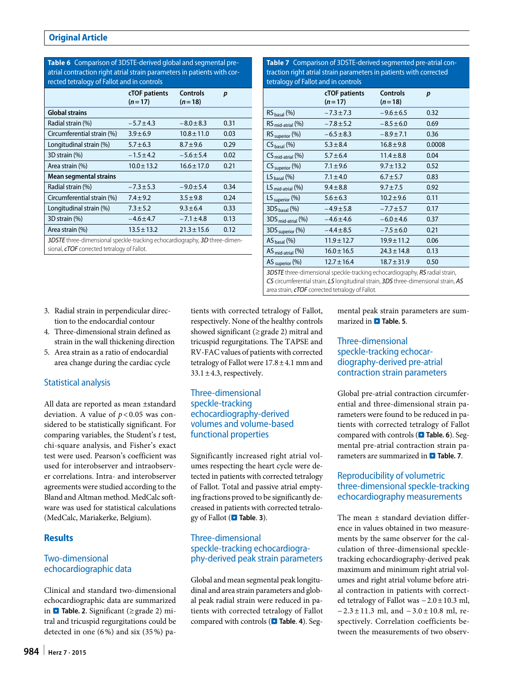| atrial contraction right atrial strain parameters in patients with cor-<br>rected tetralogy of Fallot and in controls            |                           |                             |      |
|----------------------------------------------------------------------------------------------------------------------------------|---------------------------|-----------------------------|------|
|                                                                                                                                  | cTOF patients<br>$(n=17)$ | <b>Controls</b><br>$(n=18)$ | p    |
| <b>Global strains</b>                                                                                                            |                           |                             |      |
| Radial strain (%)                                                                                                                | $-5.7 \pm 4.3$            | $-8.0 \pm 8.3$              | 0.31 |
| Circumferential strain (%)                                                                                                       | $3.9 \pm 6.9$             | $10.8 \pm 11.0$             | 0.03 |
| Longitudinal strain (%)                                                                                                          | $5.7 \pm 6.3$             | $8.7 \pm 9.6$               | 0.29 |
| 3D strain (%)                                                                                                                    | $-1.5 \pm 4.2$            | $-5.6 \pm 5.4$              | 0.02 |
| Area strain (%)                                                                                                                  | $10.0 \pm 13.2$           | $16.6 \pm 17.0$             | 0.21 |
| <b>Mean segmental strains</b>                                                                                                    |                           |                             |      |
| Radial strain (%)                                                                                                                | $-7.3 \pm 5.3$            | $-9.0 \pm 5.4$              | 0.34 |
| Circumferential strain (%)                                                                                                       | $7.4 \pm 9.2$             | $3.5 \pm 9.8$               | 0.24 |
| Longitudinal strain (%)                                                                                                          | $7.3 \pm 5.2$             | $9.3 \pm 6.4$               | 0.33 |
| 3D strain (%)                                                                                                                    | $-4.6 \pm 4.7$            | $-7.1 \pm 4.8$              | 0.13 |
| Area strain (%)                                                                                                                  | $13.5 \pm 13.2$           | $21.3 \pm 15.6$             | 0.12 |
| 3DSTE three-dimensional speckle-tracking echocardiography, 3D three-dimen-<br>sional, <b>cTOF</b> corrected tetralogy of Fallot. |                           |                             |      |

<span id="page-4-0"></span>**Table 6** Comparison of 3DSTE-derived global and segmental pre-

#### <span id="page-4-1"></span>**Table 7** Comparison of 3DSTE-derived segmented pre-atrial contraction right atrial strain parameters in patients with corrected tetralogy of Fallot and in controls

| tetralogy of Fallot and in controls                                         |                           |                             |        |  |
|-----------------------------------------------------------------------------|---------------------------|-----------------------------|--------|--|
|                                                                             | cTOF patients<br>$(n=17)$ | <b>Controls</b><br>$(n=18)$ | p      |  |
| $RSbasal$ (%)                                                               | $-7.3 \pm 7.3$            | $-9.6 \pm 6.5$              | 0.32   |  |
| $RS_{mid-atrial}$ (%)                                                       | $-7.8 \pm 5.2$            | $-8.5 \pm 6.0$              | 0.69   |  |
| $RS$ <sub>superior</sub> $(\%)$                                             | $-6.5 \pm 8.3$            | $-8.9 \pm 7.1$              | 0.36   |  |
| $CSbasal$ (%)                                                               | $5.3 \pm 8.4$             | $16.8 \pm 9.8$              | 0.0008 |  |
| $\textsf{CS}_{\sf mid\text{-}atrial}$ (%)                                   | $5.7 \pm 6.4$             | $11.4 \pm 8.8$              | 0.04   |  |
| $\textsf{CS}\xspace_{\textsf{superior}}$ (%)                                | $7.1 \pm 9.6$             | $9.7 \pm 13.2$              | 0.52   |  |
| $LS_{\text{basal}}(\%)$                                                     | $7.1 \pm 4.0$             | $6.7 \pm 5.7$               | 0.83   |  |
| $LS_{mid-atrial}(%)$                                                        | $9.4 \pm 8.8$             | $9.7 \pm 7.5$               | 0.92   |  |
| $LS$ superior $(\%)$                                                        | $5.6 \pm 6.3$             | $10.2 \pm 9.6$              | 0.11   |  |
| $3DShasal$ (%)                                                              | $-4.9 \pm 5.8$            | $-7.7 \pm 5.7$              | 0.17   |  |
| $3DSmid-atrial$ (%)                                                         | $-4.6 \pm 4.6$            | $-6.0 \pm 4.6$              | 0.37   |  |
| $3DSsuperior$ (%)                                                           | $-4.4 \pm 8.5$            | $-7.5 \pm 6.0$              | 0.21   |  |
| $ASbasal$ (%)                                                               | $11.9 \pm 12.7$           | $19.9 \pm 11.2$             | 0.06   |  |
| $AS_{mid-atrial}$ (%)                                                       | $16.0 \pm 16.5$           | $24.3 \pm 14.8$             | 0.13   |  |
| AS <sub>superior</sub> (%)                                                  | $12.7 \pm 16.4$           | $18.7 \pm 31.9$             | 0.50   |  |
| 20CTE throa dimensional speckle tracking eshosardiography. DC radial strain |                           |                             |        |  |

*3DSTE* three-dimensional speckle-tracking echocardiography, *RS* radial strain, *CS* circumferential strain, *LS* longitudinal strain, *3DS* three-dimensional strain, *AS* area strain, *cTOF* corrected tetralogy of Fallot.

- 3. Radial strain in perpendicular direction to the endocardial contour
- 4. Three-dimensional strain defined as strain in the wall thickening direction
- 5. Area strain as a ratio of endocardial area change during the cardiac cycle

# Statistical analysis

All data are reported as mean ±standard deviation. A value of  $p < 0.05$  was considered to be statistically significant. For comparing variables, the Student's *t* test, chi-square analysis, and Fisher's exact test were used. Pearson's coefficient was used for interobserver and intraobserver correlations. Intra- and interobserver agreements were studied according to the Bland and Altman method. MedCalc software was used for statistical calculations (MedCalc, Mariakerke, Belgium).

# **Results**

# Two-dimensional echocardiographic data

Clinical and standard two-dimensional echocardiographic data are summarized in  $\Box$  Table. [2](#page-3-0). Significant (≥grade 2) mitral and tricuspid regurgitations could be detected in one (6%) and six (35%) patients with corrected tetralogy of Fallot, respectively. None of the healthy controls showed significant (≥grade 2) mitral and tricuspid regurgitations. The TAPSE and RV-FAC values of patients with corrected tetralogy of Fallot were  $17.8 \pm 4.1$  mm and  $33.1 \pm 4.3$ , respectively.

# Three-dimensional speckle-tracking echocardiography-derived volumes and volume-based functional properties

Significantly increased right atrial volumes respecting the heart cycle were detected in patients with corrected tetralogy of Fallot. Total and passive atrial emptying fractions proved to be significantly decreased in patients with corrected tetralogy of Fallot (. **Table**. **[3](#page-3-1)**).

# Three-dimensional speckle-tracking echocardiography-derived peak strain parameters

Global and mean segmental peak longitudinal and area strain parameters and global peak radial strain were reduced in patients with corrected tetralogy of Fallot compared with controls ( $\Box$  Table. [4](#page-3-2)). Segmental peak strain parameters are summarized in **D** Table. [5](#page-3-3).

#### Three-dimensional speckle-tracking echocardiography-derived pre-atrial contraction strain parameters

Global pre-atrial contraction circumferential and three-dimensional strain parameters were found to be reduced in patients with corrected tetralogy of Fallot compared with controls ( $\blacksquare$  Table. [6](#page-4-0)). Segmental pre-atrial contraction strain parameters are summarized in . **Table. [7](#page-4-1)**.

# Reproducibility of volumetric three-dimensional speckle-tracking echocardiography measurements

The mean ± standard deviation difference in values obtained in two measurements by the same observer for the calculation of three-dimensional speckletracking echocardiography-derived peak maximum and minimum right atrial volumes and right atrial volume before atrial contraction in patients with corrected tetralogy of Fallot was −2.0±10.3 ml, − 2.3 ± 11.3 ml, and − 3.0 ± 10.8 ml, respectively. Correlation coefficients between the measurements of two observ-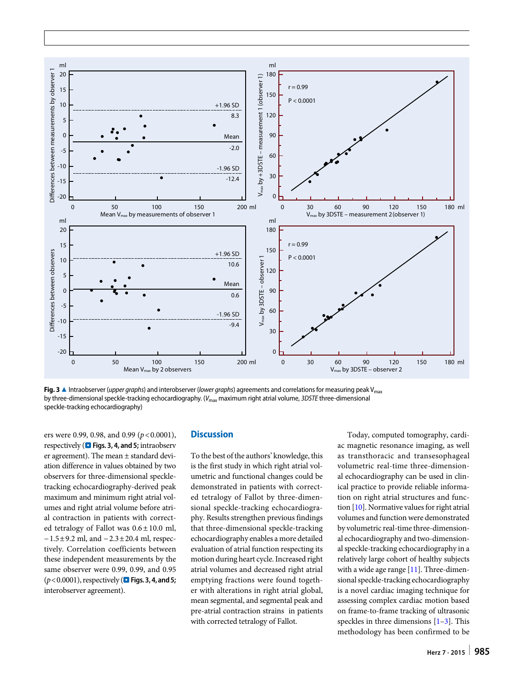

<span id="page-5-0"></span>**Fig. 3** ▲ Intraobserver (*upper graphs*) and interobserver (*lower graphs*) agreements and correlations for measuring peak V<sub>max</sub> by three-dimensional speckle-tracking echocardiography. (*V*max maximum right atrial volume, *3DSTE* three-dimensional speckle-tracking echocardiography)

ers were 0.99, 0.98, and 0.99 ( $p < 0.0001$ ), respectively (. **Figs. [3,](#page-5-0) [4](#page-6-0), and [5;](#page-7-0)** intraobserv er agreement). The mean ± standard deviation difference in values obtained by two observers for three-dimensional speckletracking echocardiography-derived peak maximum and minimum right atrial volumes and right atrial volume before atrial contraction in patients with corrected tetralogy of Fallot was 0.6±10.0 ml, −1.5±9.2 ml, and −2.3±20.4 ml, respectively. Correlation coefficients between these independent measurements by the same observer were 0.99, 0.99, and 0.95  $(p < 0.0001)$ , respectively ( $\blacksquare$  Figs. [3,](#page-5-0) [4](#page-6-0), and [5](#page-7-0); interobserver agreement).

#### **Discussion**

To the best of the authors' knowledge, this is the first study in which right atrial volumetric and functional changes could be demonstrated in patients with corrected tetralogy of Fallot by three-dimensional speckle-tracking echocardiography. Results strengthen previous findings that three-dimensional speckle-tracking echocardiography enables a more detailed evaluation of atrial function respecting its motion during heart cycle. Increased right atrial volumes and decreased right atrial emptying fractions were found together with alterations in right atrial global, mean segmental, and segmental peak and pre-atrial contraction strains in patients with corrected tetralogy of Fallot.

Today, computed tomography, cardiac magnetic resonance imaging, as well as transthoracic and transesophageal volumetric real-time three-dimensional echocardiography can be used in clinical practice to provide reliable information on right atrial structures and function [\[10\]](#page-8-6). Normative values for right atrial volumes and function were demonstrated by volumetric real-time three-dimensional echocardiography and two-dimensional speckle-tracking echocardiography in a relatively large cohort of healthy subjects with a wide age range [\[11](#page-8-7)]. Three-dimensional speckle-tracking echocardiography is a novel cardiac imaging technique for assessing complex cardiac motion based on frame-to-frame tracking of ultrasonic speckles in three dimensions [[1](#page-8-0)[–3\]](#page-8-1). This methodology has been confirmed to be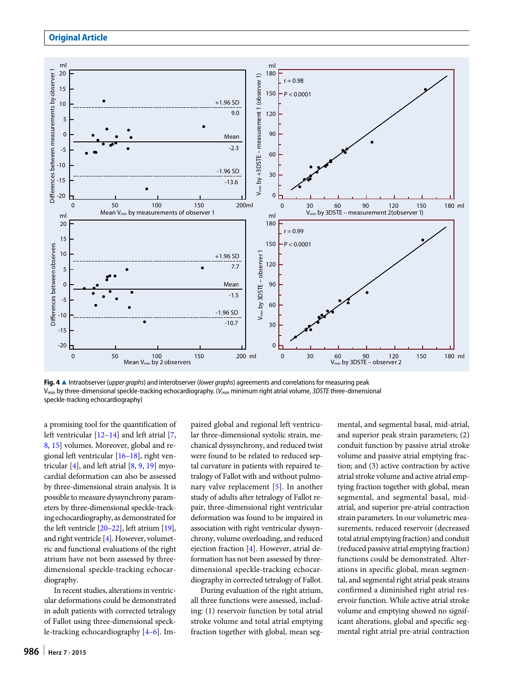

<span id="page-6-0"></span>**Fig. 4** 8 Intraobserver (*upper graphs*) and interobserver (*lower graphs*) agreements and correlations for measuring peak Vmin by three-dimensional speckle-tracking echocardiography. (*Vmin* minimum right atrial volume, *3DSTE* three-dimensional speckle-tracking echocardiography)

a promising tool for the quantification of left ventricular  $[12-14]$  $[12-14]$  and left atrial  $[7, 12]$  $[7, 12]$ [8](#page-8-10), [15\]](#page-8-11) volumes. Moreover, global and regional left ventricular [[16](#page-8-12)[–18](#page-8-13)], right ventricular  $[4]$  $[4]$ , and left atrial  $[8, 9, 19]$  $[8, 9, 19]$  $[8, 9, 19]$  $[8, 9, 19]$  $[8, 9, 19]$  $[8, 9, 19]$  $[8, 9, 19]$  myocardial deformation can also be assessed by three-dimensional strain analysis. It is possible to measure dyssynchrony parameters by three-dimensional speckle-tracking echocardiography, as demonstrated for the left ventricle [\[20–](#page-8-15)[22](#page-8-16)], left atrium [\[19\]](#page-8-14), and right ventricle [\[4](#page-8-2)]. However, volumetric and functional evaluations of the right atrium have not been assessed by threedimensional speckle-tracking echocardiography.

In recent studies, alterations in ventricular deformations could be demonstrated in adult patients with corrected tetralogy of Fallot using three-dimensional speckle-tracking echocardiography [\[4](#page-8-2)[–6\]](#page-8-3). Impaired global and regional left ventricular three-dimensional systolic strain, mechanical dyssynchrony, and reduced twist were found to be related to reduced septal curvature in patients with repaired tetralogy of Fallot with and without pulmonary valve replacement [[5\]](#page-8-17). In another study of adults after tetralogy of Fallot repair, three-dimensional right ventricular deformation was found to be impaired in association with right ventricular dyssynchrony, volume overloading, and reduced ejection fraction [[4](#page-8-2)]. However, atrial deformation has not been assessed by threedimensional speckle-tracking echocardiography in corrected tetralogy of Fallot.

During evaluation of the right atrium, all three functions were assessed, including: (1) reservoir function by total atrial stroke volume and total atrial emptying fraction together with global, mean segmental, and segmental basal, mid-atrial, and superior peak strain parameters; (2) conduit function by passive atrial stroke volume and passive atrial emptying fraction; and (3) active contraction by active atrial stroke volume and active atrial emptying fraction together with global, mean segmental, and segmental basal, midatrial, and superior pre-atrial contraction strain parameters. In our volumetric measurements, reduced reservoir (decreased total atrial emptying fraction) and conduit (reduced passive atrial emptying fraction) functions could be demonstrated. Alterations in specific global, mean segmental, and segmental right atrial peak strains confirmed a diminished right atrial reservoir function. While active atrial stroke volume and emptying showed no significant alterations, global and specific segmental right atrial pre-atrial contraction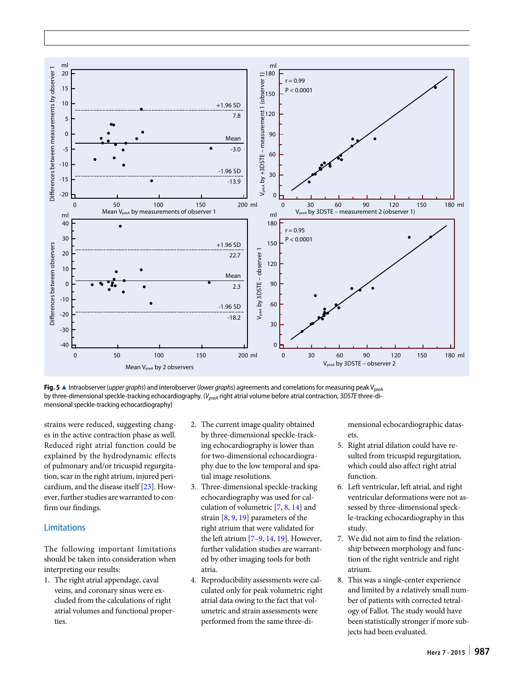

<span id="page-7-0"></span>**Fig. 5** ▲ Intraobserver (*upper graphs*) and interobserver (*lower graphs*) agreements and correlations for measuring peak V<sub>preA</sub> by three-dimensional speckle-tracking echocardiography. (*VpreA* right atrial volume before atrial contraction, *3DSTE* three-dimensional speckle-tracking echocardiography)

strains were reduced, suggesting changes in the active contraction phase as well. Reduced right atrial function could be explained by the hydrodynamic effects of pulmonary and/or tricuspid regurgitation, scar in the right atrium, injured pericardium, and the disease itself [\[23](#page-8-18)]. However, further studies are warranted to confirm our findings.

#### Limitations

The following important limitations should be taken into consideration when interpreting our results:

1. The right atrial appendage, caval veins, and coronary sinus were excluded from the calculations of right atrial volumes and functional properties.

- 2. The current image quality obtained by three-dimensional speckle-tracking echocardiography is lower than for two-dimensional echocardiography due to the low temporal and spatial image resolutions.
- 3. Three-dimensional speckle-tracking echocardiography was used for calculation of volumetric [[7](#page-8-4), [8,](#page-8-10) [14\]](#page-8-9) and strain [[8](#page-8-10), [9,](#page-8-5) [19\]](#page-8-14) parameters of the right atrium that were validated for the left atrium [[7–](#page-8-4)[9](#page-8-5), [14](#page-8-9), [19\]](#page-8-14). However, further validation studies are warranted by other imaging tools for both atria.
- 4. Reproducibility assessments were calculated only for peak volumetric right atrial data owing to the fact that volumetric and strain assessments were performed from the same three-di-

mensional echocardiographic datasets.

- 5. Right atrial dilation could have resulted from tricuspid regurgitation, which could also affect right atrial function.
- 6. Left ventricular, left atrial, and right ventricular deformations were not assessed by three-dimensional speckle-tracking echocardiography in this study.
- 7. We did not aim to find the relationship between morphology and function of the right ventricle and right atrium.
- 8. This was a single-center experience and limited by a relatively small number of patients with corrected tetralogy of Fallot. The study would have been statistically stronger if more subjects had been evaluated.